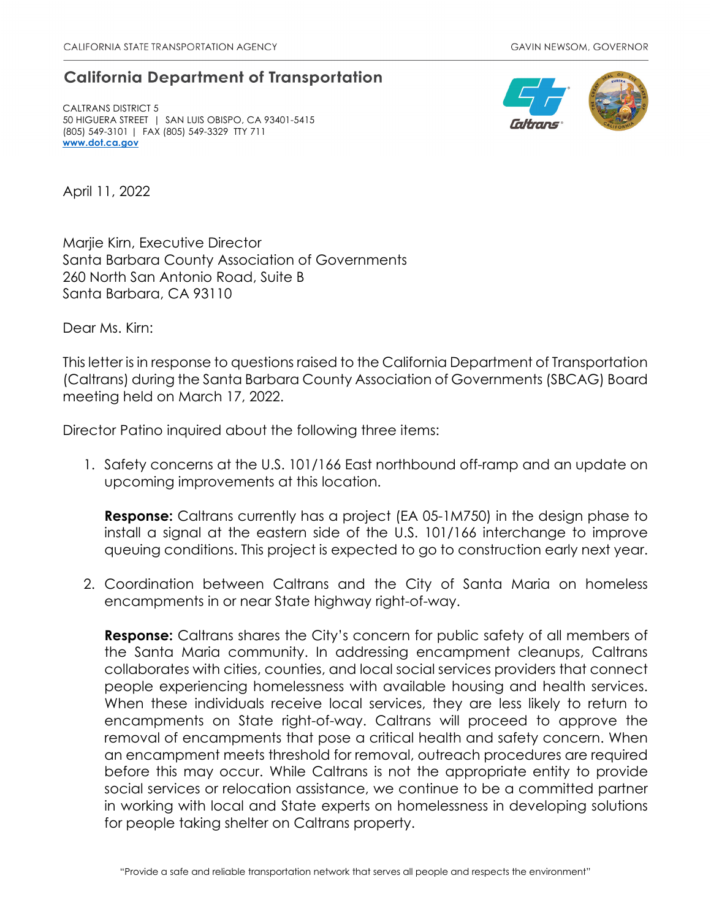## **California Department of Transportation**

CALTRANS DISTRICT 5 50 HIGUERA STREET | SAN LUIS OBISPO, CA 93401-5415 (805) 549-3101 | FAX (805) 549-3329 TTY 711 www.dot.ca.gov



April 11, 2022

Marjie Kirn, Executive Director Santa Barbara County Association of Governments 260 North San Antonio Road, Suite B Santa Barbara, CA 93110

Dear Ms. Kirn:

This letter is in response to questions raised to the California Department of Transportation (Caltrans) during the Santa Barbara County Association of Governments (SBCAG) Board meeting held on March 17, 2022.

Director Patino inquired about the following three items:

1. Safety concerns at the U.S. 101/166 East northbound off-ramp and an update on upcoming improvements at this location.

**Response:** Caltrans currently has a project (EA 05-1M750) in the design phase to install a signal at the eastern side of the U.S. 101/166 interchange to improve queuing conditions. This project is expected to go to construction early next year.

2. Coordination between Caltrans and the City of Santa Maria on homeless encampments in or near State highway right-of-way.

**Response:** Caltrans shares the City's concern for public safety of all members of the Santa Maria community. In addressing encampment cleanups, Caltrans collaborates with cities, counties, and local social services providers that connect people experiencing homelessness with available housing and health services. When these individuals receive local services, they are less likely to return to encampments on State right-of-way. Caltrans will proceed to approve the removal of encampments that pose a critical health and safety concern. When an encampment meets threshold for removal, outreach procedures are required before this may occur. While Caltrans is not the appropriate entity to provide social services or relocation assistance, we continue to be a committed partner in working with local and State experts on homelessness in developing solutions for people taking shelter on Caltrans property.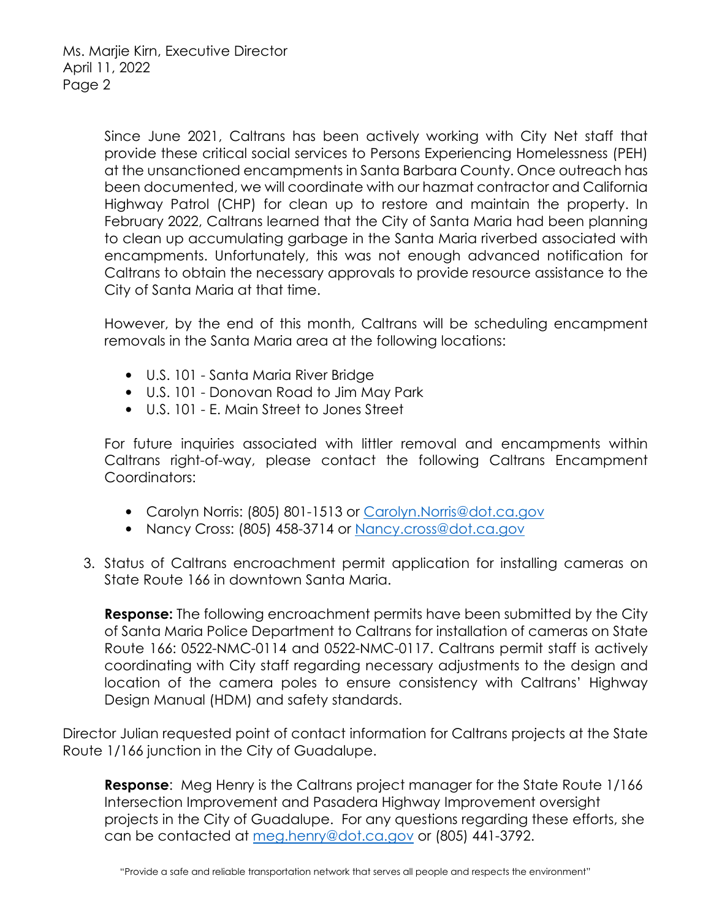Since June 2021, Caltrans has been actively working with City Net staff that provide these critical social services to Persons Experiencing Homelessness (PEH) at the unsanctioned encampments in Santa Barbara County. Once outreach has been documented, we will coordinate with our hazmat contractor and California Highway Patrol (CHP) for clean up to restore and maintain the property. In February 2022, Caltrans learned that the City of Santa Maria had been planning to clean up accumulating garbage in the Santa Maria riverbed associated with encampments. Unfortunately, this was not enough advanced notification for Caltrans to obtain the necessary approvals to provide resource assistance to the City of Santa Maria at that time.

However, by the end of this month, Caltrans will be scheduling encampment removals in the Santa Maria area at the following locations:

- U.S. 101 Santa Maria River Bridge
- U.S. 101 Donovan Road to Jim May Park
- U.S. 101 E. Main Street to Jones Street

For future inquiries associated with littler removal and encampments within Caltrans right-of-way, please contact the following Caltrans Encampment Coordinators:

- Carolyn Norris: (805) 801-1513 or Carolyn.Norris@dot.ca.gov
- Nancy Cross: (805) 458-3714 or Nancy.cross@dot.ca.gov
- 3. Status of Caltrans encroachment permit application for installing cameras on State Route 166 in downtown Santa Maria.

**Response:** The following encroachment permits have been submitted by the City of Santa Maria Police Department to Caltrans for installation of cameras on State Route 166: 0522-NMC-0114 and 0522-NMC-0117. Caltrans permit staff is actively coordinating with City staff regarding necessary adjustments to the design and location of the camera poles to ensure consistency with Caltrans' Highway Design Manual (HDM) and safety standards.

Director Julian requested point of contact information for Caltrans projects at the State Route 1/166 junction in the City of Guadalupe.

**Response:** Meg Henry is the Caltrans project manager for the State Route 1/166 Intersection Improvement and Pasadera Highway Improvement oversight projects in the City of Guadalupe. For any questions regarding these efforts, she can be contacted at meg.henry@dot.ca.gov or (805) 441-3792.